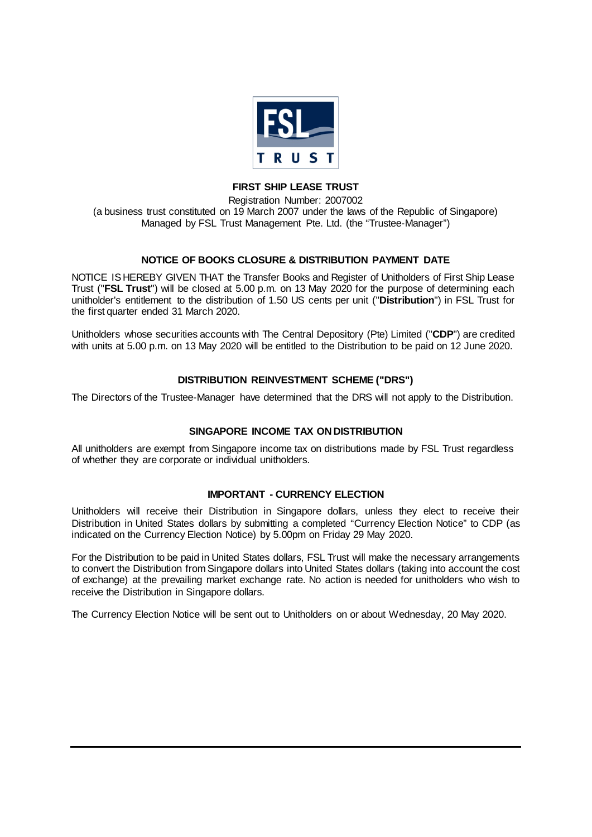

## **FIRST SHIP LEASE TRUST**

Registration Number: 2007002 (a business trust constituted on 19 March 2007 under the laws of the Republic of Singapore) Managed by FSL Trust Management Pte. Ltd. (the "Trustee-Manager")

# **NOTICE OF BOOKS CLOSURE & DISTRIBUTION PAYMENT DATE**

NOTICE IS HEREBY GIVEN THAT the Transfer Books and Register of Unitholders of First Ship Lease Trust ("**FSL Trust**") will be closed at 5.00 p.m. on 13 May 2020 for the purpose of determining each unitholder's entitlement to the distribution of 1.50 US cents per unit ("**Distribution**") in FSL Trust for the first quarter ended 31 March 2020.

Unitholders whose securities accounts with The Central Depository (Pte) Limited ("**CDP**") are credited with units at 5.00 p.m. on 13 May 2020 will be entitled to the Distribution to be paid on 12 June 2020.

## **DISTRIBUTION REINVESTMENT SCHEME ("DRS")**

The Directors of the Trustee-Manager have determined that the DRS will not apply to the Distribution.

## **SINGAPORE INCOME TAX ON DISTRIBUTION**

All unitholders are exempt from Singapore income tax on distributions made by FSL Trust regardless of whether they are corporate or individual unitholders.

#### **IMPORTANT - CURRENCY ELECTION**

Unitholders will receive their Distribution in Singapore dollars, unless they elect to receive their Distribution in United States dollars by submitting a completed "Currency Election Notice" to CDP (as indicated on the Currency Election Notice) by 5.00pm on Friday 29 May 2020.

For the Distribution to be paid in United States dollars, FSL Trust will make the necessary arrangements to convert the Distribution from Singapore dollars into United States dollars (taking into account the cost of exchange) at the prevailing market exchange rate. No action is needed for unitholders who wish to receive the Distribution in Singapore dollars.

The Currency Election Notice will be sent out to Unitholders on or about Wednesday, 20 May 2020.